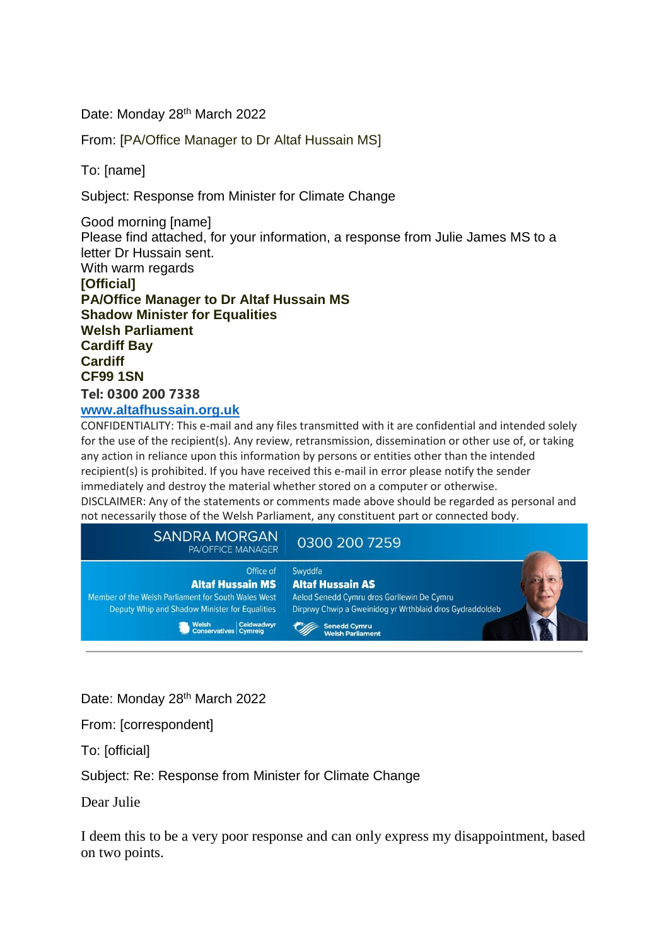Date: Monday 28<sup>th</sup> March 2022

From: [PA/Office Manager to Dr Altaf Hussain MS]

To: [name]

Subject: Response from Minister for Climate Change

Good morning [name] Please find attached, for your information, a response from Julie James MS to a letter Dr Hussain sent. With warm regards **[Official] PA/Office Manager to Dr Altaf Hussain MS Shadow Minister for Equalities Welsh Parliament Cardiff Bay Cardiff CF99 1SN Tel: 0300 200 7338 [www.altafhussain.org.uk](https://eur01.safelinks.protection.outlook.com/?url=http%3A%2F%2Fwww.altafhussain.org.uk%2F&data=04%7C01%7Cjulie.james%40gov.wales%7C9c338dc7fb874e7b2f9e08da10d7f620%7Ca2cc36c592804ae78887d06dab89216b%7C0%7C0%7C637840816979354286%7CUnknown%7CTWFpbGZsb3d8eyJWIjoiMC4wLjAwMDAiLCJQIjoiV2luMzIiLCJBTiI6Ik1haWwiLCJXVCI6Mn0%3D%7C3000&sdata=pviSgi0Ko12MEEhkWaPzIP%2FP8wP8iODyKPeYkrWlxHM%3D&reserved=0)**

CONFIDENTIALITY: This e-mail and any files transmitted with it are confidential and intended solely for the use of the recipient(s). Any review, retransmission, dissemination or other use of, or taking any action in reliance upon this information by persons or entities other than the intended recipient(s) is prohibited. If you have received this e-mail in error please notify the sender immediately and destroy the material whether stored on a computer or otherwise.

DISCLAIMER: Any of the statements or comments made above should be regarded as personal and not necessarily those of the Welsh Parliament, any constituent part or connected body.

| <b>SANDRA MORGAN</b><br><b>PA/OFFICE MANAGER</b>                                                                                              | 0300 200 7259                                                                                                                                                       |  |
|-----------------------------------------------------------------------------------------------------------------------------------------------|---------------------------------------------------------------------------------------------------------------------------------------------------------------------|--|
| Office of<br><b>Altaf Hussain MS</b><br>Member of the Welsh Parliament for South Wales West<br>Deputy Whip and Shadow Minister for Equalities | Swyddfa<br><b>Altaf Hussain AS</b><br>Aelod Senedd Cymru dros Gorllewin De Cymru<br>Dirprwy Chwip a Gweinidog yr Wrthblaid dros Gydraddoldeb<br><b>Senedd Cymru</b> |  |
| Welsh Ceidwadwyr<br>Conservatives Cymreig                                                                                                     | <b>Welsh Parliament</b>                                                                                                                                             |  |

Date: Monday 28<sup>th</sup> March 2022

From: [correspondent]

To: [official]

Subject: Re: Response from Minister for Climate Change

Dear Julie

I deem this to be a very poor response and can only express my disappointment, based on two points.